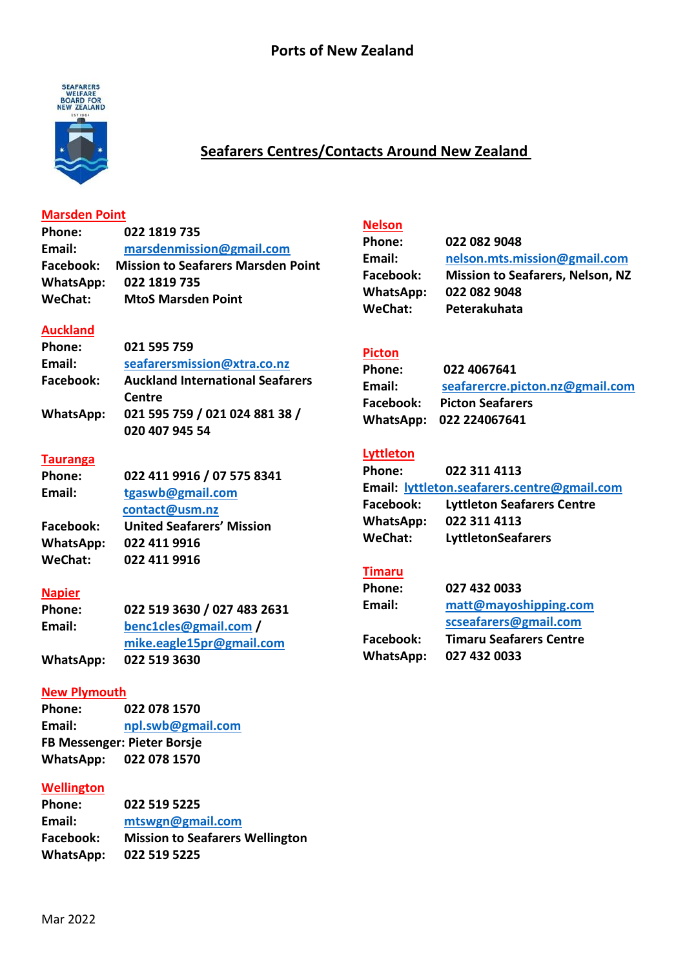

# **Seafarers Centres/Contacts Around New Zealand**

#### **Marsden Point**

**Phone: 022 1819 735 Email: [marsdenmission@gmail.com](mailto:marsdenmission@gmail.com) Facebook: Mission to Seafarers Marsden Point WhatsApp: 022 1819 735 WeChat: MtoS Marsden Point**

### **Auckland**

| <b>Phone:</b> | 021 595 759                             |
|---------------|-----------------------------------------|
| Email:        | seafarersmission@xtra.co.nz             |
| Facebook:     | <b>Auckland International Seafarers</b> |
|               | Centre                                  |
| WhatsApp:     | 021 595 759 / 021 024 881 38 /          |
|               | 020 407 945 54                          |

#### **Tauranga**

| Phone:         | 022 411 9916 / 07 575 8341       |
|----------------|----------------------------------|
| Email:         | tgaswb@gmail.com                 |
|                | contact@usm.nz                   |
| Facebook:      | <b>United Seafarers' Mission</b> |
| WhatsApp:      | 022 411 9916                     |
| <b>WeChat:</b> | 022 411 9916                     |

#### **Napier**

| <b>Phone:</b> | 022 519 3630 / 027 483 2631 |
|---------------|-----------------------------|
| Email:        | benc1cles@gmail.com /       |
|               | mike.eagle15pr@gmail.com    |
| WhatsApp:     | 022 519 3630                |

## **New Plymouth**

**Phone: 022 078 1570 Email: [npl.swb@gmail.com](mailto:npl.swb@gmail.com) FB Messenger: Pieter Borsje WhatsApp: 022 078 1570**

#### **Wellington**

| 022 519 5225                           |
|----------------------------------------|
| mtswgn@gmail.com                       |
| <b>Mission to Seafarers Wellington</b> |
| 022 519 5225                           |
|                                        |

# $Nelson$ </u>

| Phone:           | 022 082 9048                            |
|------------------|-----------------------------------------|
| Email:           | nelson.mts.mission@gmail.com            |
| Facebook:        | <b>Mission to Seafarers, Nelson, NZ</b> |
| <b>WhatsApp:</b> | 022 082 9048                            |
| <b>WeChat:</b>   | Peterakuhata                            |
|                  |                                         |

## **Picton**

| <b>Phone:</b> | 022 4067641                     |
|---------------|---------------------------------|
| Email:        | seafarercre.picton.nz@gmail.com |
| Facebook:     | <b>Picton Seafarers</b>         |
|               | WhatsApp: 022 224067641         |

## **Lyttleton**

| Phone:                                      | 022 311 4113                      |
|---------------------------------------------|-----------------------------------|
| Email: lyttleton.seafarers.centre@gmail.com |                                   |
| Facebook:                                   | <b>Lyttleton Seafarers Centre</b> |
| WhatsApp:                                   | 022 311 4113                      |
| WeChat:                                     | <b>LyttletonSeafarers</b>         |

## **Timaru**

| Phone:    | 027 432 0033                   |
|-----------|--------------------------------|
| Email:    | matt@mayoshipping.com          |
|           | scseafarers@gmail.com          |
| Facebook: | <b>Timaru Seafarers Centre</b> |
| WhatsApp: | 027 432 0033                   |